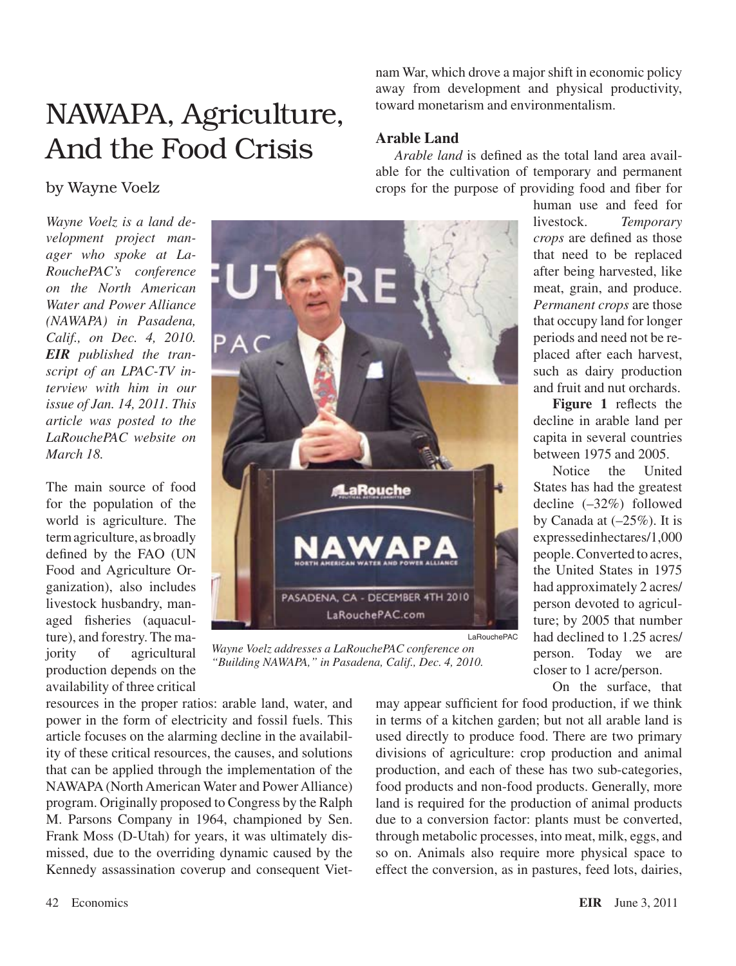# NAWAPA, Agriculture, And the Food Crisis

nam War, which drove a major shift in economic policy away from development and physical productivity, toward monetarism and environmentalism.

## **Arable Land**

*Arable land* is defined as the total land area available for the cultivation of temporary and permanent crops for the purpose of providing food and fiber for

> human use and feed for livestock. *Temporary crops* are defined as those that need to be replaced after being harvested, like meat, grain, and produce. *Permanent crops* are those that occupy land for longer periods and need not be replaced after each harvest, such as dairy production and fruit and nut orchards.

> **Figure 1** reflects the decline in arable land per capita in several countries between 1975 and 2005.

> Notice the United States has had the greatest decline (–32%) followed by Canada at (–25%). It is expressedinhectares/1,000 people.Converted to acres, the United States in 1975 had approximately 2 acres/ person devoted to agriculture; by 2005 that number had declined to 1.25 acres/ person. Today we are closer to 1 acre/person.

On the surface, that

may appear sufficient for food production, if we think in terms of a kitchen garden; but not all arable land is used directly to produce food. There are two primary divisions of agriculture: crop production and animal production, and each of these has two sub-categories, food products and non-food products. Generally, more land is required for the production of animal products due to a conversion factor: plants must be converted, through metabolic processes, into meat, milk, eggs, and so on. Animals also require more physical space to effect the conversion, as in pastures, feed lots, dairies,

LaRouchePAC

# by Wayne Voelz

*Wayne Voelz is a land development project manager who spoke at La-RouchePAC's conference on the North American Water and Power Alliance (NAWAPA) in Pasadena, Calif., on Dec. 4, 2010. EIR published the transcript of an LPAC-TV interview with him in our issue of Jan. 14, 2011. This article was posted to the LaRouchePAC website on March 18.*

The main source of food for the population of the world is agriculture. The termagriculture, as broadly defined by the FAO (UN Food and Agriculture Organization), also includes livestock husbandry, managed fisheries (aquaculture), and forestry. The majority of agricultural production depends on the availability of three critical



*Wayne Voelz addresses a LaRouchePAC conference on "Building NAWAPA," in Pasadena, Calif., Dec. 4, 2010.*

resources in the proper ratios: arable land, water, and power in the form of electricity and fossil fuels. This article focuses on the alarming decline in the availability of these critical resources, the causes, and solutions that can be applied through the implementation of the NAWAPA (North American Water and Power Alliance) program. Originally proposed to Congress by the Ralph M. Parsons Company in 1964, championed by Sen. Frank Moss (D-Utah) for years, it was ultimately dismissed, due to the overriding dynamic caused by the Kennedy assassination coverup and consequent Viet-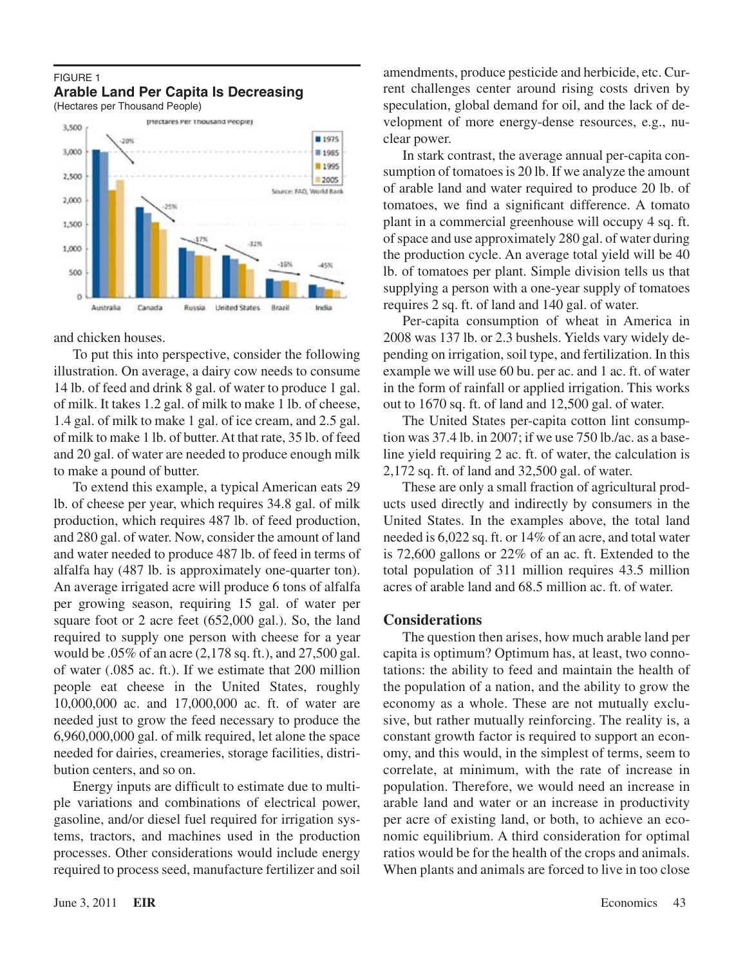### FIGURE 1 **Arable Land Per Capita Is Decreasing**

(Hectares per Thousand People)



and chicken houses.

To put this into perspective, consider the following illustration. On average, a dairy cow needs to consume 14 lb. of feed and drink 8 gal. of water to produce 1 gal. of milk. It takes 1.2 gal. of milk to make 1 lb. of cheese, 1.4 gal. of milk to make 1 gal. of ice cream, and 2.5 gal. of milk to make 1 lb. of butter.At that rate, 35 lb. of feed and 20 gal. of water are needed to produce enough milk to make a pound of butter.

To extend this example, a typical American eats 29 lb. of cheese per year, which requires 34.8 gal. of milk production, which requires 487 lb. of feed production, and 280 gal. of water. Now, consider the amount of land and water needed to produce 487 lb. of feed in terms of alfalfa hay (487 lb. is approximately one-quarter ton). An average irrigated acre will produce 6 tons of alfalfa per growing season, requiring 15 gal. of water per square foot or 2 acre feet (652,000 gal.). So, the land required to supply one person with cheese for a year would be .05% of an acre (2,178 sq. ft.), and 27,500 gal. of water (.085 ac. ft.). If we estimate that 200 million people eat cheese in the United States, roughly 10,000,000 ac. and 17,000,000 ac. ft. of water are needed just to grow the feed necessary to produce the 6,960,000,000 gal. of milk required, let alone the space needed for dairies, creameries, storage facilities, distribution centers, and so on.

Energy inputs are difficult to estimate due to multiple variations and combinations of electrical power, gasoline, and/or diesel fuel required for irrigation systems, tractors, and machines used in the production processes. Other considerations would include energy required to process seed, manufacture fertilizer and soil amendments, produce pesticide and herbicide, etc. Current challenges center around rising costs driven by speculation, global demand for oil, and the lack of development of more energy-dense resources, e.g., nuclear power.

In stark contrast, the average annual per-capita consumption of tomatoes is 20 lb. If we analyze the amount of arable land and water required to produce 20 lb. of tomatoes, we find a significant difference. A tomato plant in a commercial greenhouse will occupy 4 sq. ft. of space and use approximately 280 gal. of water during the production cycle. An average total yield will be 40 lb. of tomatoes per plant. Simple division tells us that supplying a person with a one-year supply of tomatoes requires 2 sq. ft. of land and 140 gal. of water.

Per-capita consumption of wheat in America in 2008 was 137 lb. or 2.3 bushels. Yields vary widely depending on irrigation, soil type, and fertilization. In this example we will use 60 bu. per ac. and 1 ac. ft. of water in the form of rainfall or applied irrigation. This works out to 1670 sq. ft. of land and 12,500 gal. of water.

The United States per-capita cotton lint consumption was 37.4 lb. in 2007; if we use 750 lb./ac. as a baseline yield requiring 2 ac. ft. of water, the calculation is 2,172 sq. ft. of land and 32,500 gal. of water.

These are only a small fraction of agricultural products used directly and indirectly by consumers in the United States. In the examples above, the total land needed is 6,022 sq. ft. or 14% of an acre, and total water is 72,600 gallons or 22% of an ac. ft. Extended to the total population of 311 million requires 43.5 million acres of arable land and 68.5 million ac. ft. of water.

#### **Considerations**

The question then arises, how much arable land per capita is optimum? Optimum has, at least, two connotations: the ability to feed and maintain the health of the population of a nation, and the ability to grow the economy as a whole. These are not mutually exclusive, but rather mutually reinforcing. The reality is, a constant growth factor is required to support an economy, and this would, in the simplest of terms, seem to correlate, at minimum, with the rate of increase in population. Therefore, we would need an increase in arable land and water or an increase in productivity per acre of existing land, or both, to achieve an economic equilibrium. A third consideration for optimal ratios would be for the health of the crops and animals. When plants and animals are forced to live in too close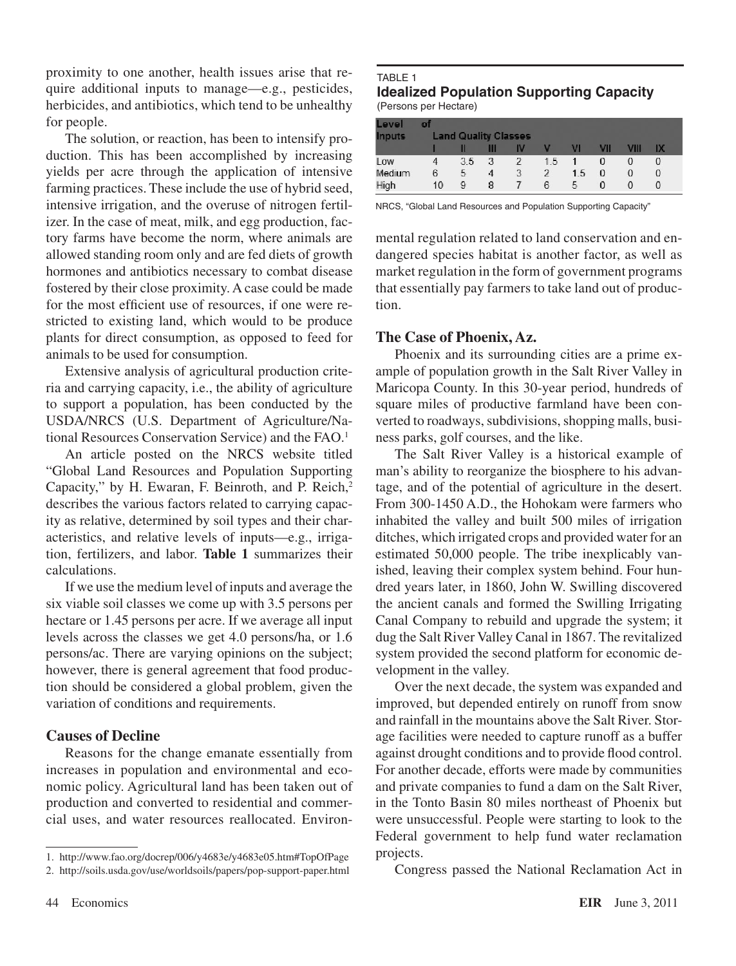proximity to one another, health issues arise that require additional inputs to manage—e.g., pesticides, herbicides, and antibiotics, which tend to be unhealthy for people.

The solution, or reaction, has been to intensify production. This has been accomplished by increasing yields per acre through the application of intensive farming practices. These include the use of hybrid seed, intensive irrigation, and the overuse of nitrogen fertilizer. In the case of meat, milk, and egg production, factory farms have become the norm, where animals are allowed standing room only and are fed diets of growth hormones and antibiotics necessary to combat disease fostered by their close proximity. A case could be made for the most efficient use of resources, if one were restricted to existing land, which would to be produce plants for direct consumption, as opposed to feed for animals to be used for consumption.

Extensive analysis of agricultural production criteria and carrying capacity, i.e., the ability of agriculture to support a population, has been conducted by the USDA/NRCS (U.S. Department of Agriculture/National Resources Conservation Service) and the FAO.1

An article posted on the NRCS website titled "Global Land Resources and Population Supporting Capacity," by H. Ewaran, F. Beinroth, and P. Reich,<sup>2</sup> describes the various factors related to carrying capacity as relative, determined by soil types and their characteristics, and relative levels of inputs—e.g., irrigation, fertilizers, and labor. **Table 1** summarizes their calculations.

If we use the medium level of inputs and average the six viable soil classes we come up with 3.5 persons per hectare or 1.45 persons per acre. If we average all input levels across the classes we get 4.0 persons/ha, or 1.6 persons/ac. There are varying opinions on the subject; however, there is general agreement that food production should be considered a global problem, given the variation of conditions and requirements.

## **Causes of Decline**

Reasons for the change emanate essentially from increases in population and environmental and economic policy. Agricultural land has been taken out of production and converted to residential and commercial uses, and water resources reallocated. Environ-

#### TABLE 1 **Idealized Population Supporting Capacity** (Persons per Hectare)

| Level         | of                          |     |   |    |                |     |     |          |    |  |
|---------------|-----------------------------|-----|---|----|----------------|-----|-----|----------|----|--|
| <b>Inputs</b> | <b>Land Quality Classes</b> |     |   |    |                |     |     |          |    |  |
|               |                             |     | Ш | IV |                | M   | VII | VIII     | IХ |  |
| Low           |                             | 3.5 | 3 | 2  | 1.5            |     | 0   | 0        | 0  |  |
| Medium        | 6                           | 5   | 4 | 3  | $\mathfrak{p}$ | 1.5 | 0   | $\Omega$ | 0  |  |
| High          | 10                          | 9   | 8 | 7  | 6              | 5   | 0   | 0        |    |  |

NRCS, "Global Land Resources and Population Supporting Capacity"

mental regulation related to land conservation and endangered species habitat is another factor, as well as market regulation in the form of government programs that essentially pay farmers to take land out of production.

# **The Case of Phoenix, Az.**

Phoenix and its surrounding cities are a prime example of population growth in the Salt River Valley in Maricopa County. In this 30-year period, hundreds of square miles of productive farmland have been converted to roadways, subdivisions, shopping malls, business parks, golf courses, and the like.

The Salt River Valley is a historical example of man's ability to reorganize the biosphere to his advantage, and of the potential of agriculture in the desert. From 300-1450 A.D., the Hohokam were farmers who inhabited the valley and built 500 miles of irrigation ditches, which irrigated crops and provided water for an estimated 50,000 people. The tribe inexplicably vanished, leaving their complex system behind. Four hundred years later, in 1860, John W. Swilling discovered the ancient canals and formed the Swilling Irrigating Canal Company to rebuild and upgrade the system; it dug the Salt River Valley Canal in 1867. The revitalized system provided the second platform for economic development in the valley.

Over the next decade, the system was expanded and improved, but depended entirely on runoff from snow and rainfall in the mountains above the Salt River. Storage facilities were needed to capture runoff as a buffer against drought conditions and to provide flood control. For another decade, efforts were made by communities and private companies to fund a dam on the Salt River, in the Tonto Basin 80 miles northeast of Phoenix but were unsuccessful. People were starting to look to the Federal government to help fund water reclamation projects.

Congress passed the National Reclamation Act in

<sup>1.</sup> http://www.fao.org/docrep/006/y4683e/y4683e05.htm#TopOfPage

<sup>2.</sup> http://soils.usda.gov/use/worldsoils/papers/pop-support-paper.html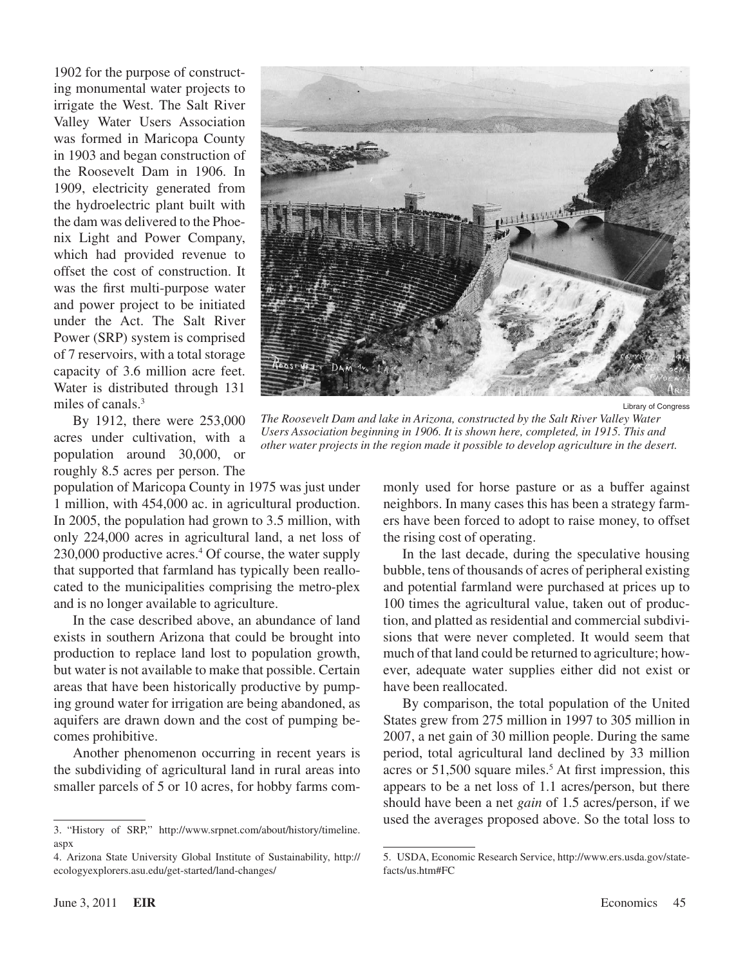1902 for the purpose of constructing monumental water projects to irrigate the West. The Salt River Valley Water Users Association was formed in Maricopa County in 1903 and began construction of the Roosevelt Dam in 1906. In 1909, electricity generated from the hydroelectric plant built with the dam was delivered to the Phoenix Light and Power Company, which had provided revenue to offset the cost of construction. It was the first multi-purpose water and power project to be initiated under the Act. The Salt River Power (SRP) system is comprised of 7 reservoirs, with a total storage capacity of 3.6 million acre feet. Water is distributed through 131 miles of canals.3

By 1912, there were 253,000 acres under cultivation, with a population around 30,000, or roughly 8.5 acres per person. The

population of Maricopa County in 1975 was just under 1 million, with 454,000 ac. in agricultural production. In 2005, the population had grown to 3.5 million, with only 224,000 acres in agricultural land, a net loss of 230,000 productive acres.4 Of course, the water supply that supported that farmland has typically been reallocated to the municipalities comprising the metro-plex and is no longer available to agriculture.

In the case described above, an abundance of land exists in southern Arizona that could be brought into production to replace land lost to population growth, but water is not available to make that possible. Certain areas that have been historically productive by pumping ground water for irrigation are being abandoned, as aquifers are drawn down and the cost of pumping becomes prohibitive.

Another phenomenon occurring in recent years is the subdividing of agricultural land in rural areas into smaller parcels of 5 or 10 acres, for hobby farms com-



Library of Congress

*The Roosevelt Dam and lake in Arizona, constructed by the Salt River Valley Water Users Association beginning in 1906. It is shown here, completed, in 1915. This and other water projects in the region made it possible to develop agriculture in the desert.*

monly used for horse pasture or as a buffer against neighbors. In many cases this has been a strategy farmers have been forced to adopt to raise money, to offset the rising cost of operating.

In the last decade, during the speculative housing bubble, tens of thousands of acres of peripheral existing and potential farmland were purchased at prices up to 100 times the agricultural value, taken out of production, and platted as residential and commercial subdivisions that were never completed. It would seem that much of that land could be returned to agriculture; however, adequate water supplies either did not exist or have been reallocated.

By comparison, the total population of the United States grew from 275 million in 1997 to 305 million in 2007, a net gain of 30 million people. During the same period, total agricultural land declined by 33 million acres or  $51,500$  square miles.<sup>5</sup> At first impression, this appears to be a net loss of 1.1 acres/person, but there should have been a net *gain* of 1.5 acres/person, if we used the averages proposed above. So the total loss to

<sup>3.</sup> "History of SRP," http://www.srpnet.com/about/history/timeline. aspx

<sup>4.</sup> Arizona State University Global Institute of Sustainability, http:// ecologyexplorers.asu.edu/get-started/land-changes/

<sup>5.</sup> USDA, Economic Research Service, http://www.ers.usda.gov/statefacts/us.htm#FC